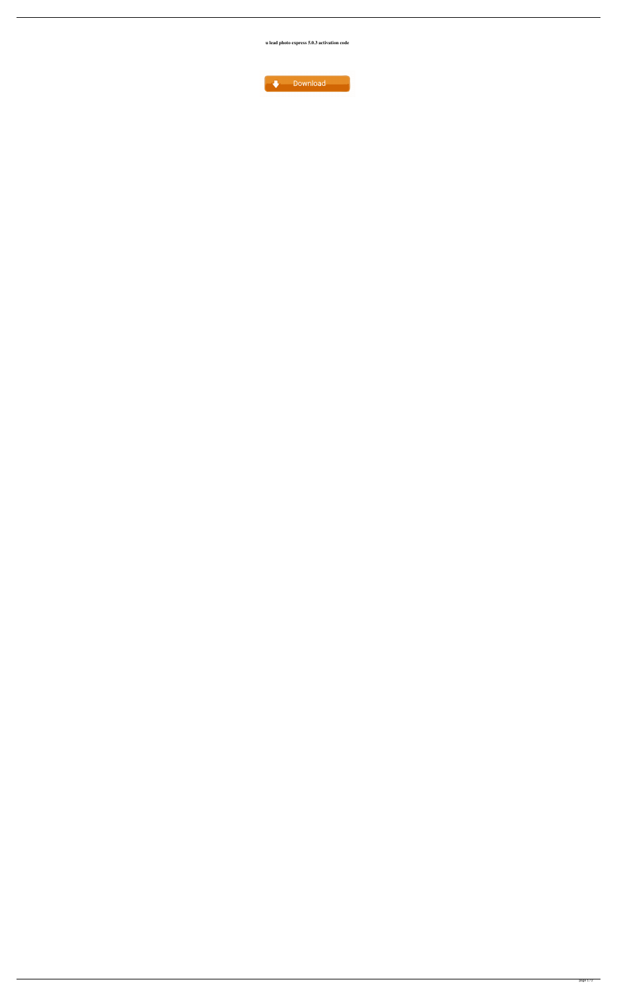**u lead photo express 5.0.3 activation code**